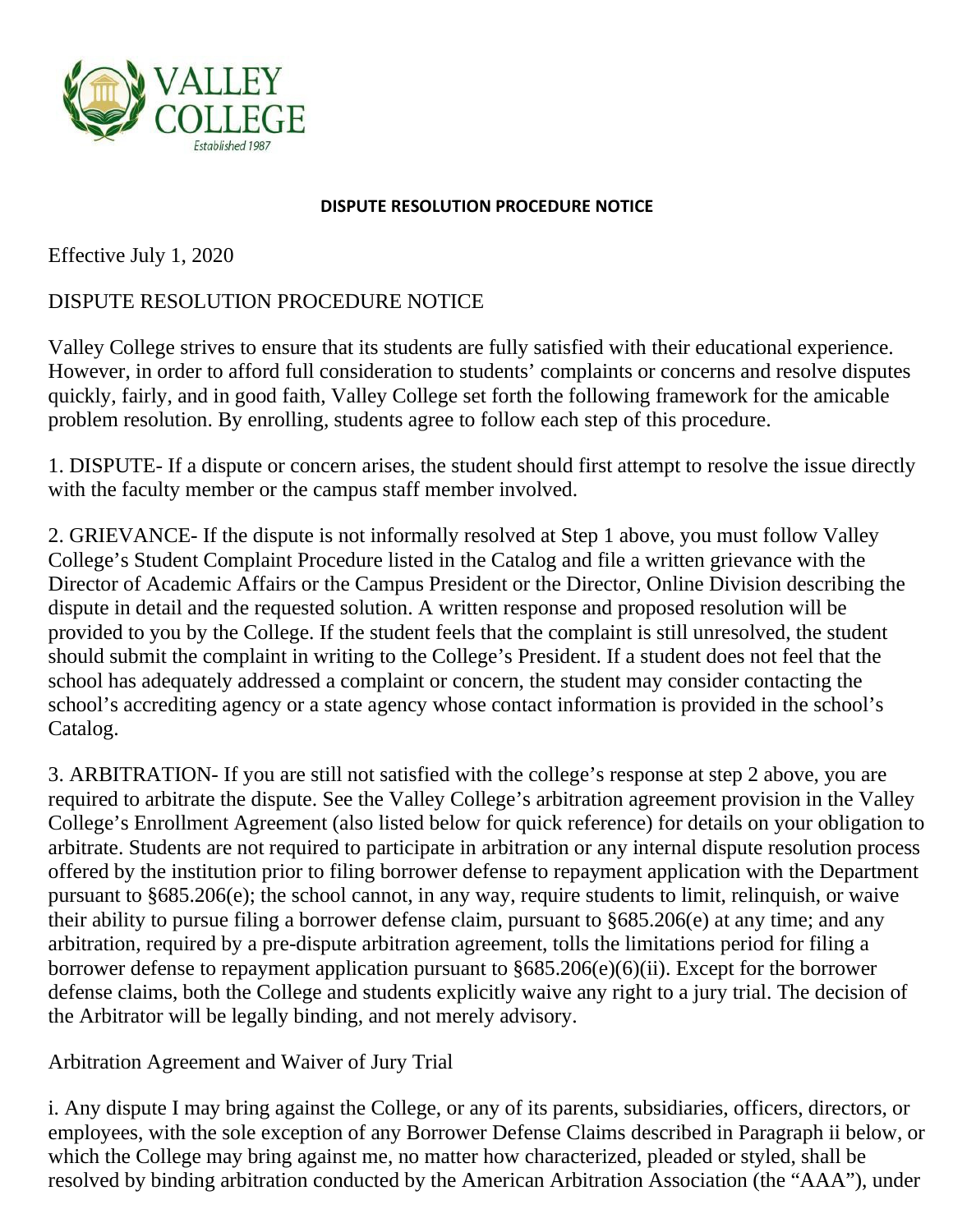

## **DISPUTE RESOLUTION PROCEDURE NOTICE**

Effective July 1, 2020

## DISPUTE RESOLUTION PROCEDURE NOTICE

Valley College strives to ensure that its students are fully satisfied with their educational experience. However, in order to afford full consideration to students' complaints or concerns and resolve disputes quickly, fairly, and in good faith, Valley College set forth the following framework for the amicable problem resolution. By enrolling, students agree to follow each step of this procedure.

1. DISPUTE- If a dispute or concern arises, the student should first attempt to resolve the issue directly with the faculty member or the campus staff member involved.

2. GRIEVANCE- If the dispute is not informally resolved at Step 1 above, you must follow Valley College's Student Complaint Procedure listed in the Catalog and file a written grievance with the Director of Academic Affairs or the Campus President or the Director, Online Division describing the dispute in detail and the requested solution. A written response and proposed resolution will be provided to you by the College. If the student feels that the complaint is still unresolved, the student should submit the complaint in writing to the College's President. If a student does not feel that the school has adequately addressed a complaint or concern, the student may consider contacting the school's accrediting agency or a state agency whose contact information is provided in the school's Catalog.

3. ARBITRATION- If you are still not satisfied with the college's response at step 2 above, you are required to arbitrate the dispute. See the Valley College's arbitration agreement provision in the Valley College's Enrollment Agreement (also listed below for quick reference) for details on your obligation to arbitrate. Students are not required to participate in arbitration or any internal dispute resolution process offered by the institution prior to filing borrower defense to repayment application with the Department pursuant to §685.206(e); the school cannot, in any way, require students to limit, relinquish, or waive their ability to pursue filing a borrower defense claim, pursuant to §685.206(e) at any time; and any arbitration, required by a pre-dispute arbitration agreement, tolls the limitations period for filing a borrower defense to repayment application pursuant to §685.206(e)(6)(ii). Except for the borrower defense claims, both the College and students explicitly waive any right to a jury trial. The decision of the Arbitrator will be legally binding, and not merely advisory.

Arbitration Agreement and Waiver of Jury Trial

i. Any dispute I may bring against the College, or any of its parents, subsidiaries, officers, directors, or employees, with the sole exception of any Borrower Defense Claims described in Paragraph ii below, or which the College may bring against me, no matter how characterized, pleaded or styled, shall be resolved by binding arbitration conducted by the American Arbitration Association (the "AAA"), under